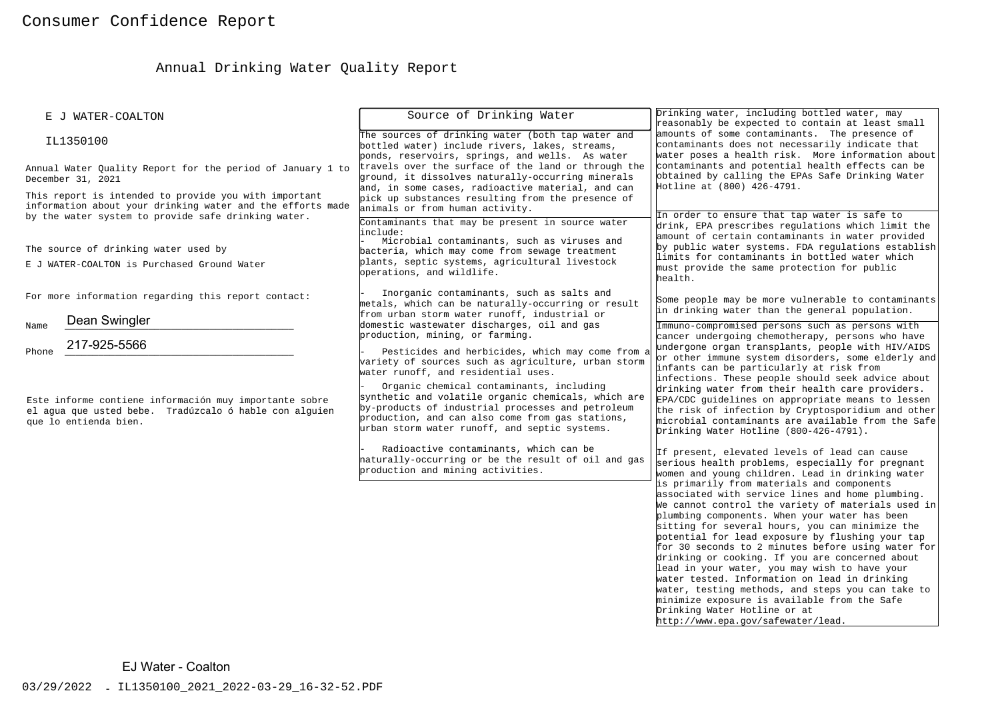# Annual Drinking Water Quality Report

| E J WATER-COALTON                                                                                                                                                          | Source of Drinking Water                                                                                                                                                                                                                                                                                                                                                                                                                                                                                                                          | Drinking water, including bottled water, may<br>reasonably be expected to contain at least small                                                                                                                                                                                                                                                                                                                                                                                                                                                                                                                                                                                                                                                                                                                                                                                                                                                                                                                                                                                                                                                                                                                                                                                                                                       |  |
|----------------------------------------------------------------------------------------------------------------------------------------------------------------------------|---------------------------------------------------------------------------------------------------------------------------------------------------------------------------------------------------------------------------------------------------------------------------------------------------------------------------------------------------------------------------------------------------------------------------------------------------------------------------------------------------------------------------------------------------|----------------------------------------------------------------------------------------------------------------------------------------------------------------------------------------------------------------------------------------------------------------------------------------------------------------------------------------------------------------------------------------------------------------------------------------------------------------------------------------------------------------------------------------------------------------------------------------------------------------------------------------------------------------------------------------------------------------------------------------------------------------------------------------------------------------------------------------------------------------------------------------------------------------------------------------------------------------------------------------------------------------------------------------------------------------------------------------------------------------------------------------------------------------------------------------------------------------------------------------------------------------------------------------------------------------------------------------|--|
| IL1350100                                                                                                                                                                  | The sources of drinking water (both tap water and<br>bottled water) include rivers, lakes, streams,<br>ponds, reservoirs, springs, and wells. As water                                                                                                                                                                                                                                                                                                                                                                                            | amounts of some contaminants. The presence of<br>contaminants does not necessarily indicate that<br>water poses a health risk. More information about                                                                                                                                                                                                                                                                                                                                                                                                                                                                                                                                                                                                                                                                                                                                                                                                                                                                                                                                                                                                                                                                                                                                                                                  |  |
| Annual Water Quality Report for the period of January 1 to<br>December 31, 2021                                                                                            | travels over the surface of the land or through the<br>ground, it dissolves naturally-occurring minerals<br>and, in some cases, radioactive material, and can                                                                                                                                                                                                                                                                                                                                                                                     | contaminants and potential health effects can be<br>obtained by calling the EPAs Safe Drinking Water<br>Hotline at (800) 426-4791.                                                                                                                                                                                                                                                                                                                                                                                                                                                                                                                                                                                                                                                                                                                                                                                                                                                                                                                                                                                                                                                                                                                                                                                                     |  |
| This report is intended to provide you with important<br>information about your drinking water and the efforts made<br>by the water system to provide safe drinking water. | pick up substances resulting from the presence of<br>animals or from human activity.<br>Contaminants that may be present in source water<br>include:<br>Microbial contaminants, such as viruses and                                                                                                                                                                                                                                                                                                                                               | In order to ensure that tap water is safe to<br>drink, EPA prescribes regulations which limit the<br>amount of certain contaminants in water provided                                                                                                                                                                                                                                                                                                                                                                                                                                                                                                                                                                                                                                                                                                                                                                                                                                                                                                                                                                                                                                                                                                                                                                                  |  |
| The source of drinking water used by<br>E J WATER-COALTON is Purchased Ground Water                                                                                        | bacteria, which may come from sewage treatment<br>plants, septic systems, agricultural livestock<br>operations, and wildlife.                                                                                                                                                                                                                                                                                                                                                                                                                     | by public water systems. FDA regulations establish<br>limits for contaminants in bottled water which<br>must provide the same protection for public<br>health.                                                                                                                                                                                                                                                                                                                                                                                                                                                                                                                                                                                                                                                                                                                                                                                                                                                                                                                                                                                                                                                                                                                                                                         |  |
| For more information regarding this report contact:                                                                                                                        | Inorganic contaminants, such as salts and<br>metals, which can be naturally-occurring or result<br>from urban storm water runoff, industrial or                                                                                                                                                                                                                                                                                                                                                                                                   | Some people may be more vulnerable to contaminants<br>in drinking water than the general population.                                                                                                                                                                                                                                                                                                                                                                                                                                                                                                                                                                                                                                                                                                                                                                                                                                                                                                                                                                                                                                                                                                                                                                                                                                   |  |
| Dean Swingler<br>Name<br>217-925-5566                                                                                                                                      | domestic wastewater discharges, oil and gas<br>production, mining, or farming.                                                                                                                                                                                                                                                                                                                                                                                                                                                                    | Immuno-compromised persons such as persons with<br>cancer undergoing chemotherapy, persons who have                                                                                                                                                                                                                                                                                                                                                                                                                                                                                                                                                                                                                                                                                                                                                                                                                                                                                                                                                                                                                                                                                                                                                                                                                                    |  |
| Phone<br>Este informe contiene información muy importante sobre<br>el aqua que usted bebe. Tradúzcalo ó hable con alquien<br>que lo entienda bien.                         | Pesticides and herbicides, which may come from a<br>variety of sources such as agriculture, urban storm<br>water runoff, and residential uses.<br>Organic chemical contaminants, including<br>synthetic and volatile organic chemicals, which are<br>by-products of industrial processes and petroleum<br>production, and can also come from gas stations,<br>urban storm water runoff, and septic systems.<br>Radioactive contaminants, which can be<br>haturally-occurring or be the result of oil and gas<br>production and mining activities. | undergone organ transplants, people with HIV/AIDS<br>or other immune system disorders, some elderly and<br>infants can be particularly at risk from<br>infections. These people should seek advice about<br>drinking water from their health care providers.<br>EPA/CDC guidelines on appropriate means to lessen<br>the risk of infection by Cryptosporidium and other<br>microbial contaminants are available from the Safe<br>Drinking Water Hotline (800-426-4791).<br>If present, elevated levels of lead can cause<br>serious health problems, especially for pregnant<br>women and young children. Lead in drinking water<br>is primarily from materials and components<br>associated with service lines and home plumbing.<br>We cannot control the variety of materials used in<br>plumbing components. When your water has been<br>sitting for several hours, you can minimize the<br>potential for lead exposure by flushing your tap<br>for 30 seconds to 2 minutes before using water for<br>drinking or cooking. If you are concerned about<br>lead in your water, you may wish to have your<br>water tested. Information on lead in drinking<br>water, testing methods, and steps you can take to<br>minimize exposure is available from the Safe<br>Drinking Water Hotline or at<br>http://www.epa.gov/safewater/lead. |  |
| EJ Water - Coalton                                                                                                                                                         |                                                                                                                                                                                                                                                                                                                                                                                                                                                                                                                                                   |                                                                                                                                                                                                                                                                                                                                                                                                                                                                                                                                                                                                                                                                                                                                                                                                                                                                                                                                                                                                                                                                                                                                                                                                                                                                                                                                        |  |
| 03/29/2022 - IL1350100_2021_2022-03-29_16-32-52.PDF                                                                                                                        |                                                                                                                                                                                                                                                                                                                                                                                                                                                                                                                                                   |                                                                                                                                                                                                                                                                                                                                                                                                                                                                                                                                                                                                                                                                                                                                                                                                                                                                                                                                                                                                                                                                                                                                                                                                                                                                                                                                        |  |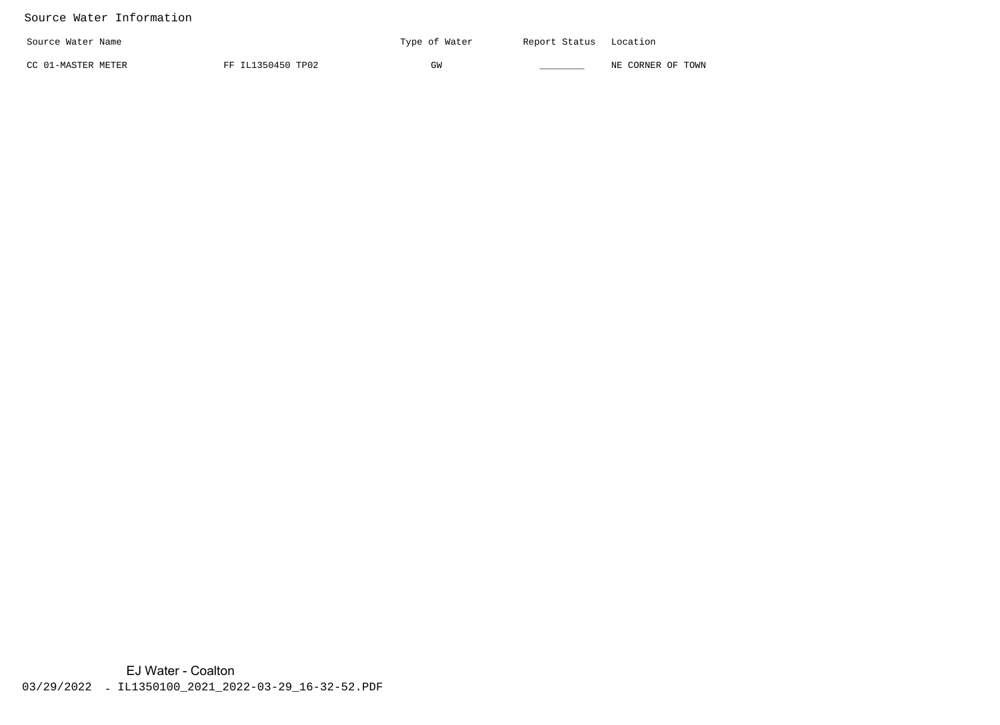#### Source Water Information

| Source Water Name  |                   | Type of Water | Report Status Location |                   |
|--------------------|-------------------|---------------|------------------------|-------------------|
| CC 01-MASTER METER | FF IL1350450 TP02 | GW            |                        | NE CORNER OF TOWN |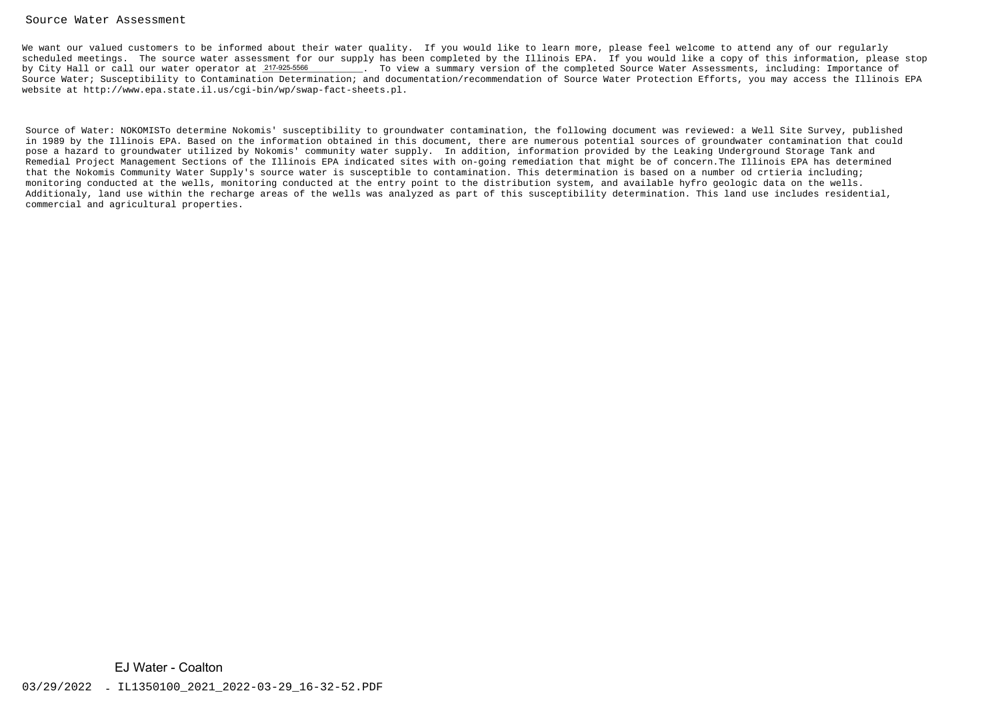#### Source Water Assessment

We want our valued customers to be informed about their water quality. If you would like to learn more, please feel welcome to attend any of our regularly scheduled meetings. The source water assessment for our supply has been completed by the Illinois EPA. If you would like a copy of this information, please stop. To view a summary version of the completed Source Water Assessments, including: Importance of Source Water; Susceptibility to Contamination Determination; and documentation/recommendation of Source Water Protection Efforts, you may access the Illinois EPAwebsite at http://www.epa.state.il.us/cgi-bin/wp/swap-fact-sheets.pl.by City Hall or call our water operator at 217-925-5566

Source of Water: NOKOMISTo determine Nokomis' susceptibility to groundwater contamination, the following document was reviewed: a Well Site Survey, published in 1989 by the Illinois EPA. Based on the information obtained in this document, there are numerous potential sources of groundwater contamination that couldpose a hazard to groundwater utilized by Nokomis' community water supply. In addition, information provided by the Leaking Underground Storage Tank and Remedial Project Management Sections of the Illinois EPA indicated sites with on-going remediation that might be of concern.The Illinois EPA has determinedthat the Nokomis Community Water Supply's source water is susceptible to contamination. This determination is based on a number od crtieria including; monitoring conducted at the wells, monitoring conducted at the entry point to the distribution system, and available hyfro geologic data on the wells. Additionaly, land use within the recharge areas of the wells was analyzed as part of this susceptibility determination. This land use includes residential,commercial and agricultural properties.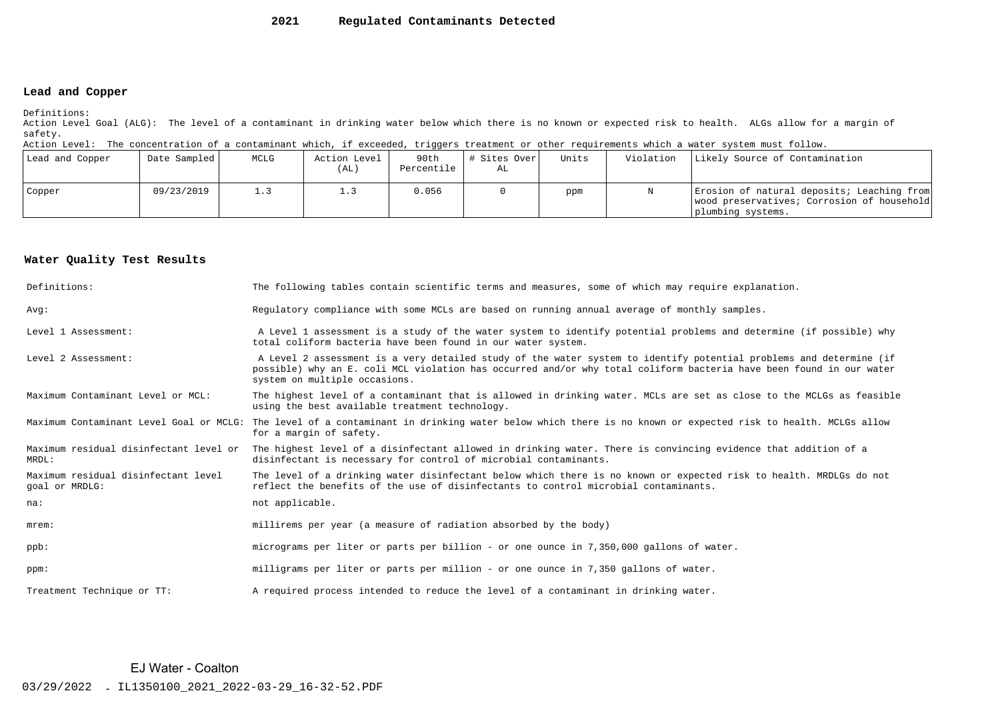#### **2021Regulated Contaminants Detected**

#### **Lead and Copper**

Definitions:

 Action Level Goal (ALG): The level of a contaminant in drinking water below which there is no known or expected risk to health. ALGs allow for a margin ofsafety.

Action Level: The concentration of a contaminant which, if exceeded, triggers treatment or other requirements which a water system must follow.

| Lead and Copper | Date Sampled | MCLG | Action Level<br>(AL) | 90th<br>Percentile | # Sites Over<br>AL | Units | Violation | Likely Source of Contamination                                                                                |
|-----------------|--------------|------|----------------------|--------------------|--------------------|-------|-----------|---------------------------------------------------------------------------------------------------------------|
| Copper          | 09/23/2019   | 1.3  |                      | 0.056              |                    | ppm   |           | Erosion of natural deposits; Leaching from<br>wood preservatives; Corrosion of household<br>plumbing systems. |

#### **Water Quality Test Results**

| Definitions:                                          | The following tables contain scientific terms and measures, some of which may require explanation.                                                                                                                                                                         |
|-------------------------------------------------------|----------------------------------------------------------------------------------------------------------------------------------------------------------------------------------------------------------------------------------------------------------------------------|
| Avq:                                                  | Requlatory compliance with some MCLs are based on running annual average of monthly samples.                                                                                                                                                                               |
| Level 1 Assessment:                                   | A Level 1 assessment is a study of the water system to identify potential problems and determine (if possible) why<br>total coliform bacteria have been found in our water system.                                                                                         |
| Level 2 Assessment:                                   | A Level 2 assessment is a very detailed study of the water system to identify potential problems and determine (if<br>possible) why an E. coli MCL violation has occurred and/or why total coliform bacteria have been found in our water<br>system on multiple occasions. |
| Maximum Contaminant Level or MCL:                     | The highest level of a contaminant that is allowed in drinking water. MCLs are set as close to the MCLGs as feasible<br>using the best available treatment technology.                                                                                                     |
| Maximum Contaminant Level Goal or MCLG:               | The level of a contaminant in drinking water below which there is no known or expected risk to health. MCLGs allow<br>for a margin of safety.                                                                                                                              |
| Maximum residual disinfectant level or<br>MRDL:       | The highest level of a disinfectant allowed in drinking water. There is convincing evidence that addition of a<br>disinfectant is necessary for control of microbial contaminants.                                                                                         |
| Maximum residual disinfectant level<br>goal or MRDLG: | The level of a drinking water disinfectant below which there is no known or expected risk to health. MRDLGs do not<br>reflect the benefits of the use of disinfectants to control microbial contaminants.                                                                  |
| na:                                                   | not applicable.                                                                                                                                                                                                                                                            |
| $m$ rem:                                              | millirems per year (a measure of radiation absorbed by the body)                                                                                                                                                                                                           |
| $ppb$ :                                               | micrograms per liter or parts per billion - or one ounce in 7,350,000 gallons of water.                                                                                                                                                                                    |
| ppm:                                                  | milligrams per liter or parts per million - or one ounce in 7,350 gallons of water.                                                                                                                                                                                        |
| Treatment Technique or TT:                            | A required process intended to reduce the level of a contaminant in drinking water.                                                                                                                                                                                        |

EJ Water - Coalton<br>03/29/2022 - IL1350100\_2021\_2022-03-29\_16-32-52.PDF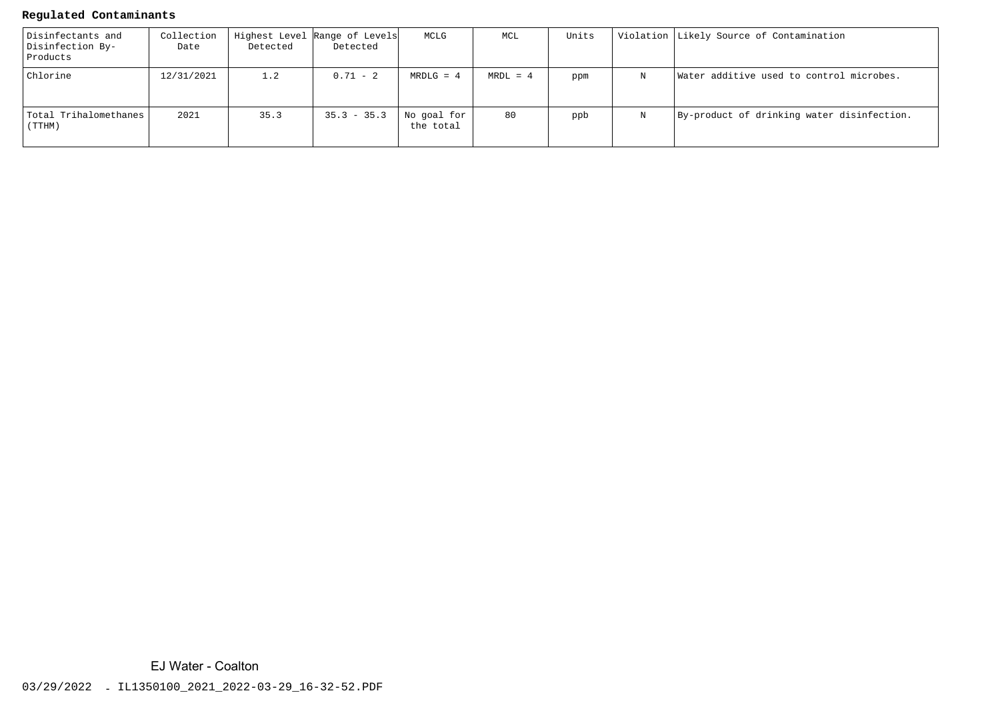#### **Regulated Contaminants**

| Disinfectants and<br>Disinfection By-<br>Products | Collection<br>Date | Detected | Highest Level Range of Levels<br>Detected | MCLG                     | MCL        | Units |   | Violation Likely Source of Contamination   |
|---------------------------------------------------|--------------------|----------|-------------------------------------------|--------------------------|------------|-------|---|--------------------------------------------|
| Chlorine                                          | 12/31/2021         | 1.2      | $0.71 - 2$                                | $MRDLG = 4$              | $MRDL = 4$ | ppm   | N | Water additive used to control microbes.   |
| Total Trihalomethanes<br>(TTHM)                   | 2021               | 35.3     | $35.3 - 35.3$                             | No goal for<br>the total | 80         | ppb   | N | By-product of drinking water disinfection. |

EJ Water - Coalton<br>03/29/2022 - IL1350100\_2021\_2022-03-29\_16-32-52.PDF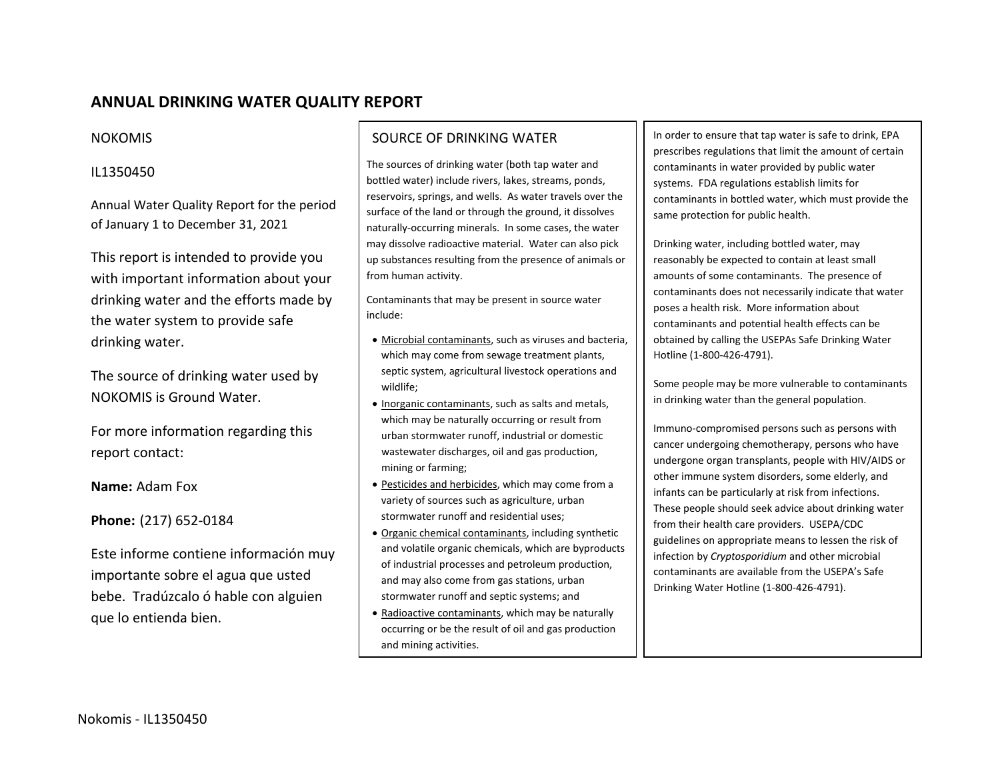# **ANNUAL DRINKING WATER QUALITY REPORT**

#### NOKOMIS

### IL1350450

Annual Water Quality Report for the period of January 1 to December 31, 2021

This report is intended to provide you with important information about your drinking water and the efforts made by the water system to provide safe drinking water.

The source of drinking water used by NOKOMIS is Ground Water.

For more information regarding this report contact:

**Name:** Adam Fox

**Phone:** (217) 652‐0184

Este informe contiene información muy importante sobre el agua que usted bebe. Tradúzcalo ó hable con alguien que lo entienda bien.

## SOURCE OF DRINKING WATER

The sources of drinking water (both tap water and bottled water) include rivers, lakes, streams, ponds, reservoirs, springs, and wells. As water travels over the surface of the land or through the ground, it dissolves naturally‐occurring minerals. In some cases, the water may dissolve radioactive material. Water can also pick up substances resulting from the presence of animals or from human activity.

Contaminants that may be present in source water include:

- Microbial contaminants, such as viruses and bacteria, which may come from sewage treatment plants, septic system, agricultural livestock operations and wildlife;
- **Inorganic contaminants, such as salts and metals,** which may be naturally occurring or result from urban stormwater runoff, industrial or domestic wastewater discharges, oil and gas production, mining or farming;
- **Pesticides and herbicides, which may come from a** variety of sources such as agriculture, urban stormwater runoff and residential uses;
- Organic chemical contaminants, including synthetic and volatile organic chemicals, which are byproducts of industrial processes and petroleum production, and may also come from gas stations, urban stormwater runoff and septic systems; and
- Radioactive contaminants, which may be naturally occurring or be the result of oil and gas production and mining activities.

In order to ensure that tap water is safe to drink, EPA prescribes regulations that limit the amount of certain contaminants in water provided by public water systems. FDA regulations establish limits for contaminants in bottled water, which must provide the same protection for public health.

Drinking water, including bottled water, may reasonably be expected to contain at least small amounts of some contaminants. The presence of contaminants does not necessarily indicate that water poses <sup>a</sup> health risk. More information about contaminants and potential health effects can be obtained by calling the USEPAs Safe Drinking Water Hotline (1‐800‐426‐4791).

Some people may be more vulnerable to contaminants in drinking water than the general population.

Immuno‐compromised persons such as persons with cancer undergoing chemotherapy, persons who have undergone organ transplants, people with HIV/AIDS or other immune system disorders, some elderly, and infants can be particularly at risk from infections. These people should seek advice about drinking water from their health care providers. USEPA/CDC guidelines on appropriate means to lessen the risk of infection by *Cryptosporidium* and other microbial contaminants are available from the USEPA's Safe Drinking Water Hotline (1‐800‐426‐4791).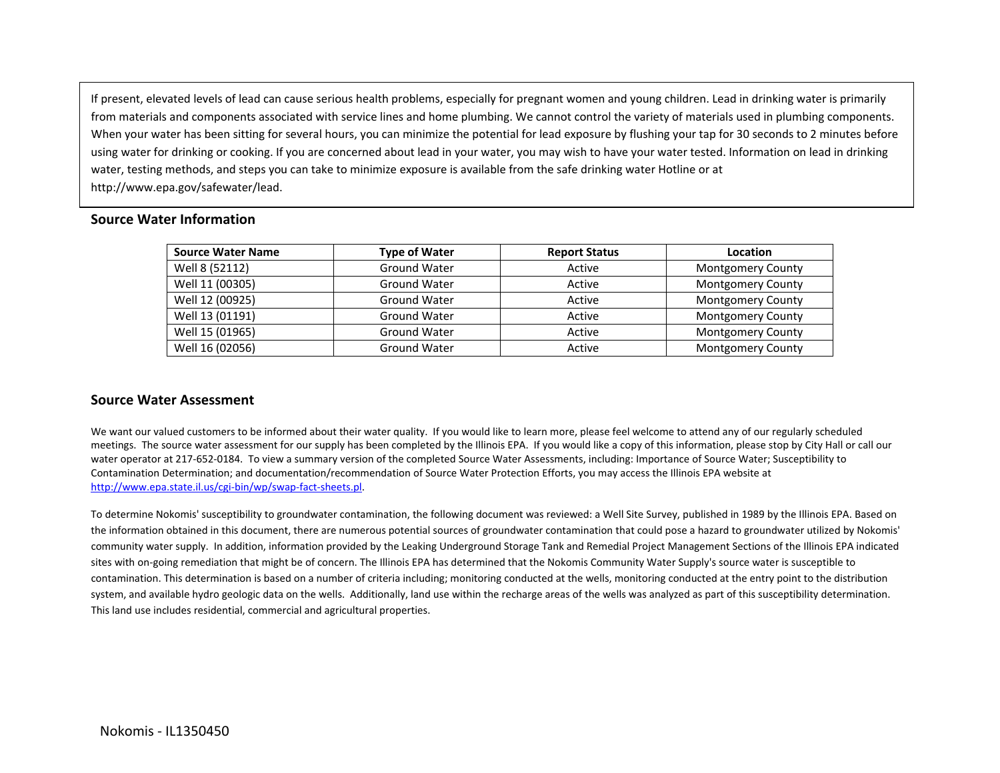If present, elevated levels of lead can cause serious health problems, especially for pregnant women and young children. Lead in drinking water is primarily from materials and components associated with service lines and home plumbing. We cannot control the variety of materials used in plumbing components. When your water has been sitting for several hours, you can minimize the potential for lead exposure by flushing your tap for 30 seconds to 2 minutes before using water for drinking or cooking. If you are concerned about lead in your water, you may wish to have your water tested. Information on lead in drinking water, testing methods, and steps you can take to minimize exposure is available from the safe drinking water Hotline or at http://www.epa.gov/safewater/lead.

| <b>Source Water Name</b> | <b>Type of Water</b> | <b>Report Status</b> | Location                 |
|--------------------------|----------------------|----------------------|--------------------------|
| Well 8 (52112)           | Ground Water         | Active               | <b>Montgomery County</b> |
| Well 11 (00305)          | <b>Ground Water</b>  | Active               | <b>Montgomery County</b> |
| Well 12 (00925)          | <b>Ground Water</b>  | Active               | <b>Montgomery County</b> |
| Well 13 (01191)          | <b>Ground Water</b>  | Active               | <b>Montgomery County</b> |
| Well 15 (01965)          | <b>Ground Water</b>  | Active               | <b>Montgomery County</b> |
| Well 16 (02056)          | Ground Water         | Active               | <b>Montgomery County</b> |

#### **Source Water Information**

#### **Source Water Assessment**

We want our valued customers to be informed about their water quality. If you would like to learn more, please feel welcome to attend any of our regularly scheduled meetings. The source water assessment for our supply has been completed by the Illinois EPA. If you would like <sup>a</sup> copy of this information, please stop by City Hall or call our water operator at 217‐652‐0184. To view <sup>a</sup> summary version of the completed Source Water Assessments, including: Importance of Source Water; Susceptibility to Contamination Determination; and documentation/recommendation of Source Water Protection Efforts, you may access the Illinois EPA website at http://www.epa.state.il.us/cgi‐bin/wp/swap‐fact‐sheets.pl.

To determine Nokomis' susceptibility to groundwater contamination, the following document was reviewed: <sup>a</sup> Well Site Survey, published in 1989 by the Illinois EPA. Based on the information obtained in this document, there are numerous potential sources of groundwater contamination that could pose <sup>a</sup> hazard to groundwater utilized by Nokomis' community water supply. In addition, information provided by the Leaking Underground Storage Tank and Remedial Project Management Sections of the Illinois EPA indicated sites with on‐going remediation that might be of concern. The Illinois EPA has determined that the Nokomis Community Water Supply's source water is susceptible to contamination. This determination is based on <sup>a</sup> number of criteria including; monitoring conducted at the wells, monitoring conducted at the entry point to the distribution system, and available hydro geologic data on the wells. Additionally, land use within the recharge areas of the wells was analyzed as part of this susceptibility determination. This land use includes residential, commercial and agricultural properties.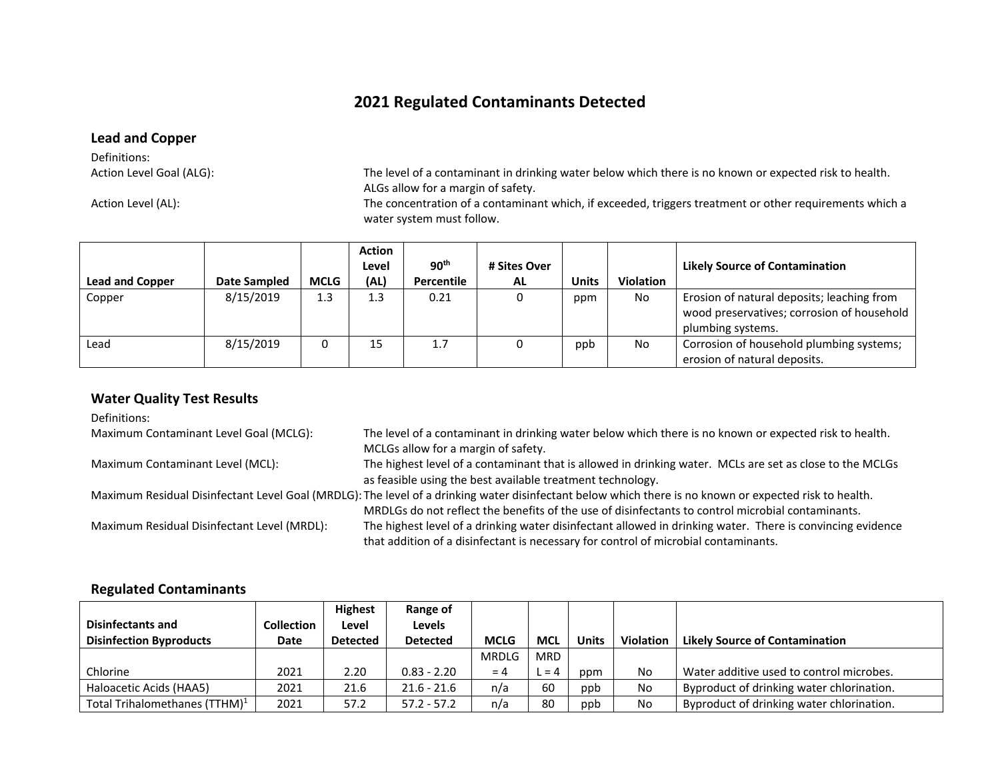# **2021 Regulated Contaminants Detected**

#### **Lead and Copper**

Definitions:Action Level Goal (ALG):

Action Level (AL):

The level of a contaminant in drinking water below which there is no known or expected risk to health. ALGs allow for <sup>a</sup> margin of safety.

The concentration of a contaminant which, if exceeded, triggers treatment or other requirements which a water system must follow.

| <b>Lead and Copper</b> | Date Sampled | <b>MCLG</b> | <b>Action</b><br>Level<br>(AL) | 90 <sup>th</sup><br>Percentile | # Sites Over<br><b>AL</b> | <b>Units</b> | <b>Violation</b> | <b>Likely Source of Contamination</b>                                                                         |
|------------------------|--------------|-------------|--------------------------------|--------------------------------|---------------------------|--------------|------------------|---------------------------------------------------------------------------------------------------------------|
| Copper                 | 8/15/2019    | 1.3         | 1.3                            | 0.21                           |                           | ppm          | No               | Erosion of natural deposits; leaching from<br>wood preservatives; corrosion of household<br>plumbing systems. |
| Lead                   | 8/15/2019    |             | 15                             | 1.7                            |                           | ppb          | No               | Corrosion of household plumbing systems;<br>erosion of natural deposits.                                      |

#### **Water Quality Test Results**

Definitions:Maximum Contaminant Level Goal (MCLG): The level of a contaminant in drinking water below which there is no known or expected risk to health. MCLGs allow for <sup>a</sup> margin of safety. Maximum Contaminant Level (MCL): The highest level of a contaminant that is allowed in drinking water. MCLs are set as close to the MCLGs as feasible using the best available treatment technology. Maximum Residual Disinfectant Level Goal (MRDLG): The level of <sup>a</sup> drinking water disinfectant below which there is no known or expected risk to health. MRDLGs do not reflect the benefits of the use of disinfectants to control microbial contaminants. Maximum Residual Disinfectant Level (MRDL): The highest level of a drinking water disinfectant allowed in drinking water. There is convincing evidence that addition of <sup>a</sup> disinfectant is necessary for control of microbial contaminants.

#### **Regulated Contaminants**

|                                           |                   | <b>Highest</b>  | Range of        |              |            |              |                  |                                           |
|-------------------------------------------|-------------------|-----------------|-----------------|--------------|------------|--------------|------------------|-------------------------------------------|
| <b>Disinfectants and</b>                  | <b>Collection</b> | Level           | <b>Levels</b>   |              |            |              |                  |                                           |
| <b>Disinfection Byproducts</b>            | Date              | <b>Detected</b> | <b>Detected</b> | <b>MCLG</b>  | <b>MCL</b> | <b>Units</b> | <b>Violation</b> | <b>Likely Source of Contamination</b>     |
|                                           |                   |                 |                 | <b>MRDLG</b> | <b>MRD</b> |              |                  |                                           |
| Chlorine                                  | 2021              | 2.20            | $0.83 - 2.20$   | $= 4$        | $= 4$      | ppm          | No               | Water additive used to control microbes.  |
| Haloacetic Acids (HAA5)                   | 2021              | 21.6            | $21.6 - 21.6$   | n/a          | 60         | ppb          | No               | Byproduct of drinking water chlorination. |
| Total Trihalomethanes (TTHM) <sup>1</sup> | 2021              | 57.2            | $57.2 - 57.2$   | n/a          | 80         | ppb          | No               | Byproduct of drinking water chlorination. |